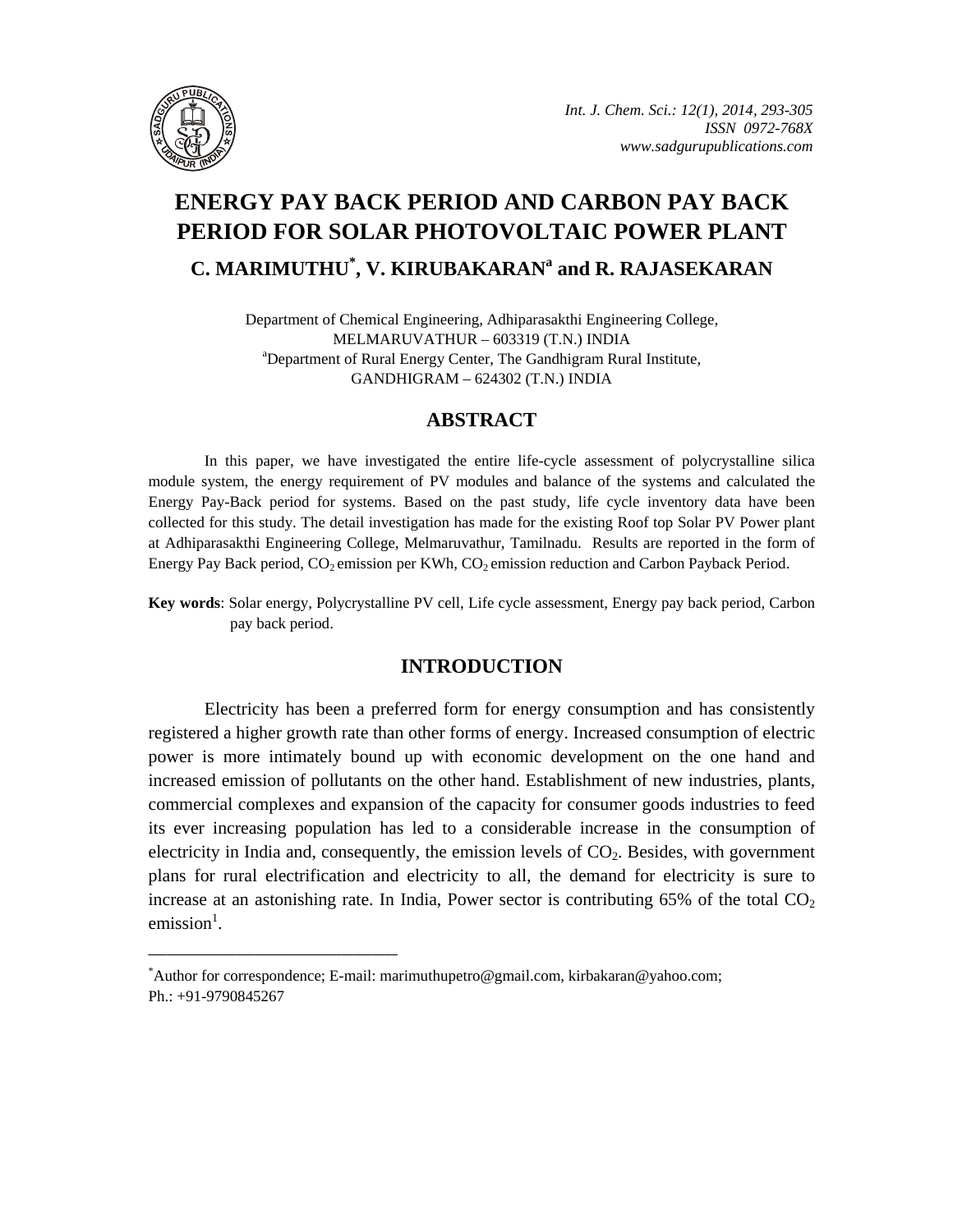

# **ENERGY PAY BACK PERIOD AND CARBON PAY BACK PERIOD FOR SOLAR PHOTOVOLTAIC POWER PLANT C. MARIMUTHU\* , V. KIRUBAKARAN<sup>a</sup> and R. RAJASEKARAN**

Department of Chemical Engineering, Adhiparasakthi Engineering College, MELMARUVATHUR – 603319 (T.N.) INDIA a Department of Rural Energy Center, The Gandhigram Rural Institute, GANDHIGRAM – 624302 (T.N.) INDIA

# **ABSTRACT**

In this paper, we have investigated the entire life-cycle assessment of polycrystalline silica module system, the energy requirement of PV modules and balance of the systems and calculated the Energy Pay-Back period for systems. Based on the past study, life cycle inventory data have been collected for this study. The detail investigation has made for the existing Roof top Solar PV Power plant at Adhiparasakthi Engineering College, Melmaruvathur, Tamilnadu. Results are reported in the form of Energy Pay Back period,  $CO_2$  emission per KWh,  $CO_2$  emission reduction and Carbon Payback Period.

**Key words**: Solar energy, Polycrystalline PV cell, Life cycle assessment, Energy pay back period, Carbon pay back period.

# **INTRODUCTION**

Electricity has been a preferred form for energy consumption and has consistently registered a higher growth rate than other forms of energy. Increased consumption of electric power is more intimately bound up with economic development on the one hand and increased emission of pollutants on the other hand. Establishment of new industries, plants, commercial complexes and expansion of the capacity for consumer goods industries to feed its ever increasing population has led to a considerable increase in the consumption of electricity in India and, consequently, the emission levels of  $CO<sub>2</sub>$ . Besides, with government plans for rural electrification and electricity to all, the demand for electricity is sure to increase at an astonishing rate. In India, Power sector is contributing  $65\%$  of the total  $CO<sub>2</sub>$  $emission<sup>1</sup>$ .

**\_\_\_\_\_\_\_\_\_\_\_\_\_\_\_\_\_\_\_\_\_\_\_\_\_\_\_\_\_\_\_\_\_\_\_\_\_\_\_\_**

<sup>\*</sup> Author for correspondence; E-mail: marimuthupetro@gmail.com, kirbakaran@yahoo.com; Ph.: +91-9790845267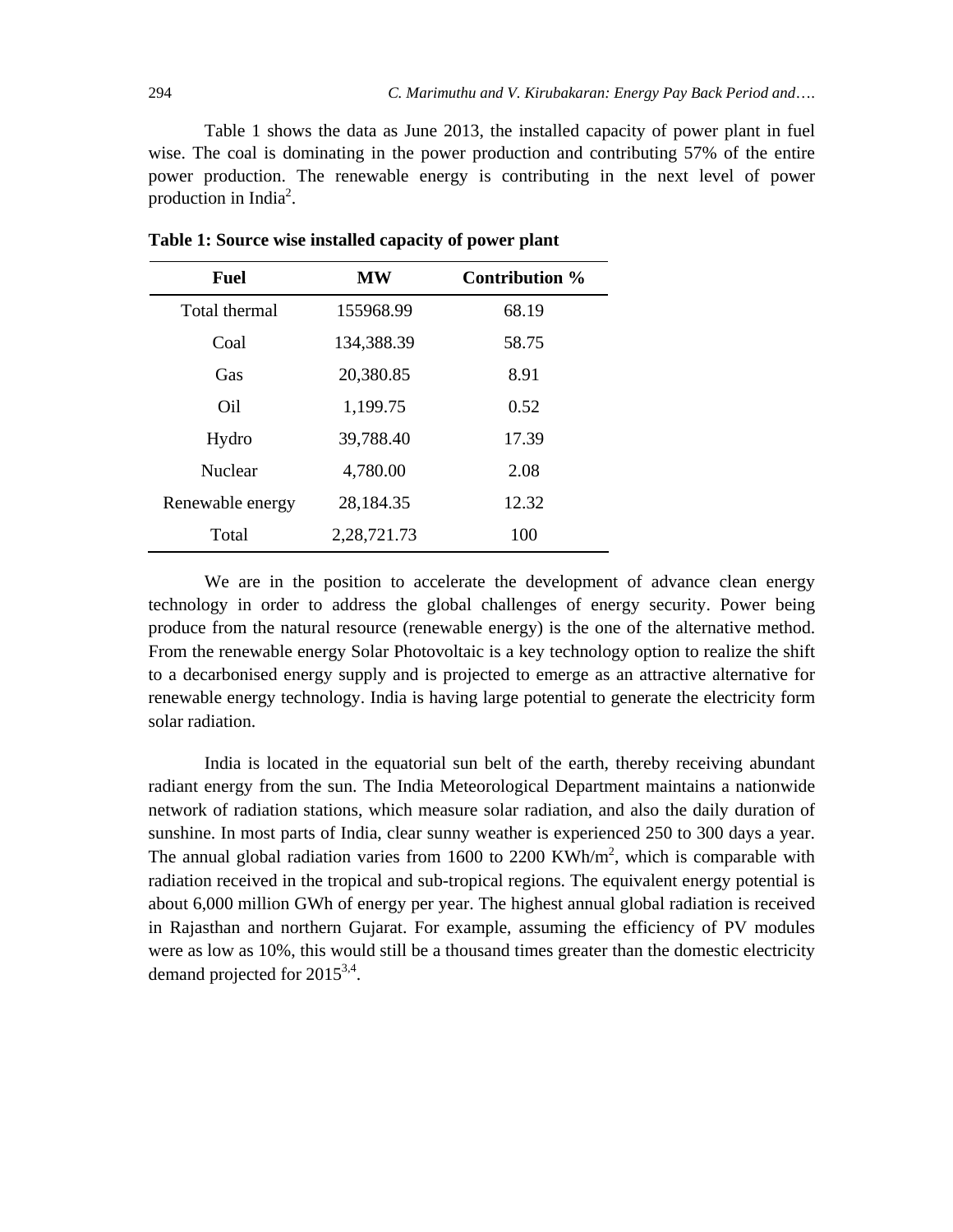Table 1 shows the data as June 2013, the installed capacity of power plant in fuel wise. The coal is dominating in the power production and contributing 57% of the entire power production. The renewable energy is contributing in the next level of power production in India<sup>2</sup>.

| <b>Fuel</b>      | MW          | Contribution % |
|------------------|-------------|----------------|
| Total thermal    | 155968.99   | 68.19          |
| Coal             | 134,388.39  | 58.75          |
| Gas              | 20,380.85   | 8.91           |
| Oil              | 1,199.75    | 0.52           |
| Hydro            | 39,788.40   | 17.39          |
| <b>Nuclear</b>   | 4,780.00    | 2.08           |
| Renewable energy | 28,184.35   | 12.32          |
| Total            | 2,28,721.73 | 100            |

**Table 1: Source wise installed capacity of power plant** 

We are in the position to accelerate the development of advance clean energy technology in order to address the global challenges of energy security. Power being produce from the natural resource (renewable energy) is the one of the alternative method. From the renewable energy Solar Photovoltaic is a key technology option to realize the shift to a decarbonised energy supply and is projected to emerge as an attractive alternative for renewable energy technology. India is having large potential to generate the electricity form solar radiation.

India is located in the equatorial sun belt of the earth, thereby receiving abundant radiant energy from the sun. The India Meteorological Department maintains a nationwide network of radiation stations, which measure solar radiation, and also the daily duration of sunshine. In most parts of India, clear sunny weather is experienced 250 to 300 days a year. The annual global radiation varies from 1600 to 2200 KWh/ $m<sup>2</sup>$ , which is comparable with radiation received in the tropical and sub-tropical regions. The equivalent energy potential is about 6,000 million GWh of energy per year. The highest annual global radiation is received in Rajasthan and northern Gujarat. For example, assuming the efficiency of PV modules were as low as 10%, this would still be a thousand times greater than the domestic electricity demand projected for 20153,4.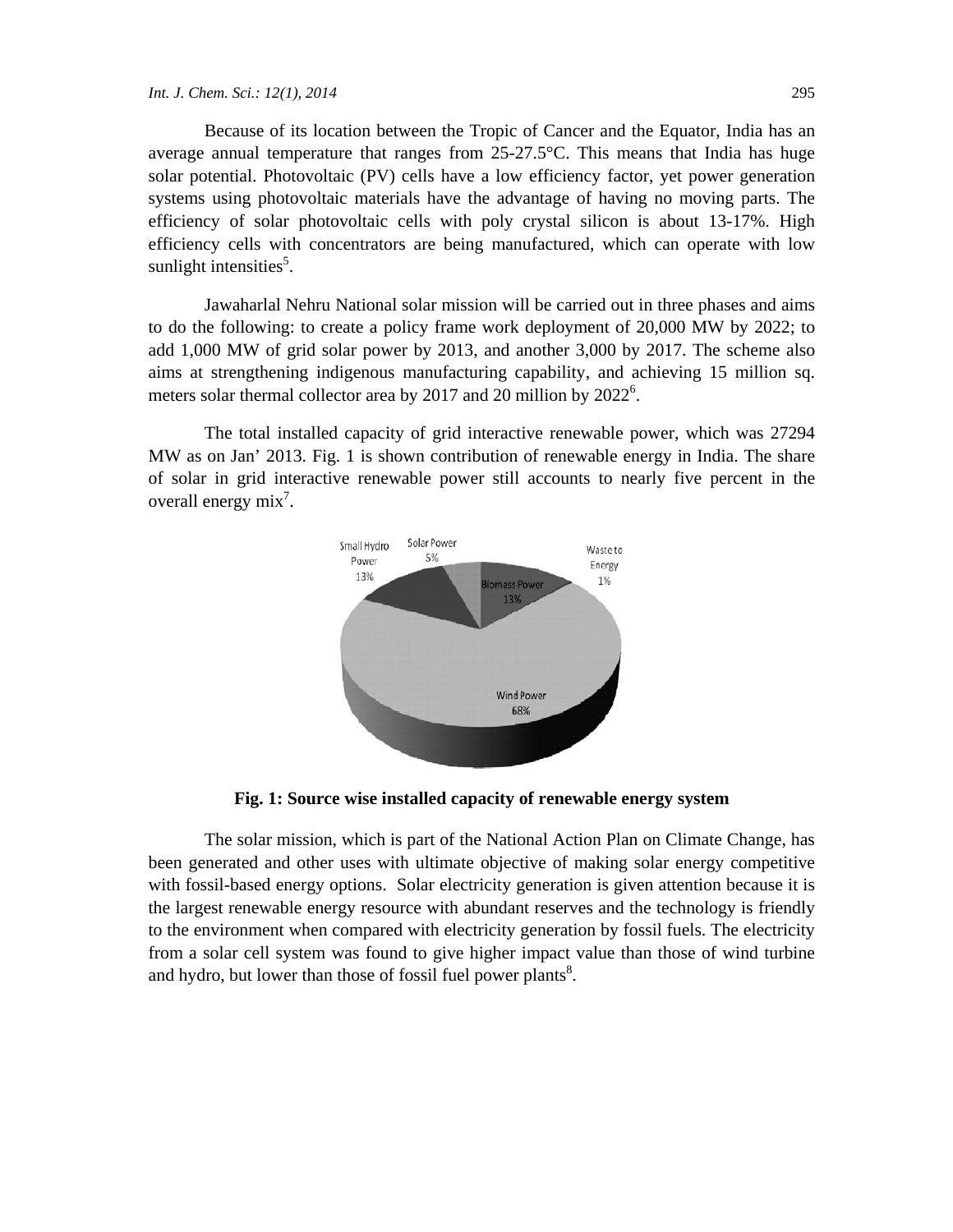Because of its location between the Tropic of Cancer and the Equator, India has an average annual temperature that ranges from 25-27.5°C. This means that India has huge solar potential. Photovoltaic (PV) cells have a low efficiency factor, yet power generation systems using photovoltaic materials have the advantage of having no moving parts. The efficiency of solar photovoltaic cells with poly crystal silicon is about 13-17%. High efficiency cells with concentrators are being manufactured, which can operate with low sunlight intensities<sup>5</sup>.

Jawaharlal Nehru National solar mission will be carried out in three phases and aims to do the following: to create a policy frame work deployment of 20,000 MW by 2022; to add 1,000 MW of grid solar power by 2013, and another 3,000 by 2017. The scheme also aims at strengthening indigenous manufacturing capability, and achieving 15 million sq. meters solar thermal collector area by 2017 and 20 million by  $2022^6$ .

The total installed capacity of grid interactive renewable power, which was 27294 MW as on Jan' 2013. Fig. 1 is shown contribution of renewable energy in India. The share of solar in grid interactive renewable power still accounts to nearly five percent in the overall energy  $mix^7$ .



**Fig. 1: Source wise installed capacity of renewable energy system** 

The solar mission, which is part of the National Action Plan on Climate Change, has been generated and other uses with ultimate objective of making solar energy competitive with fossil-based energy options. Solar electricity generation is given attention because it is the largest renewable energy resource with abundant reserves and the technology is friendly to the environment when compared with electricity generation by fossil fuels. The electricity from a solar cell system was found to give higher impact value than those of wind turbine and hydro, but lower than those of fossil fuel power plants<sup>8</sup>.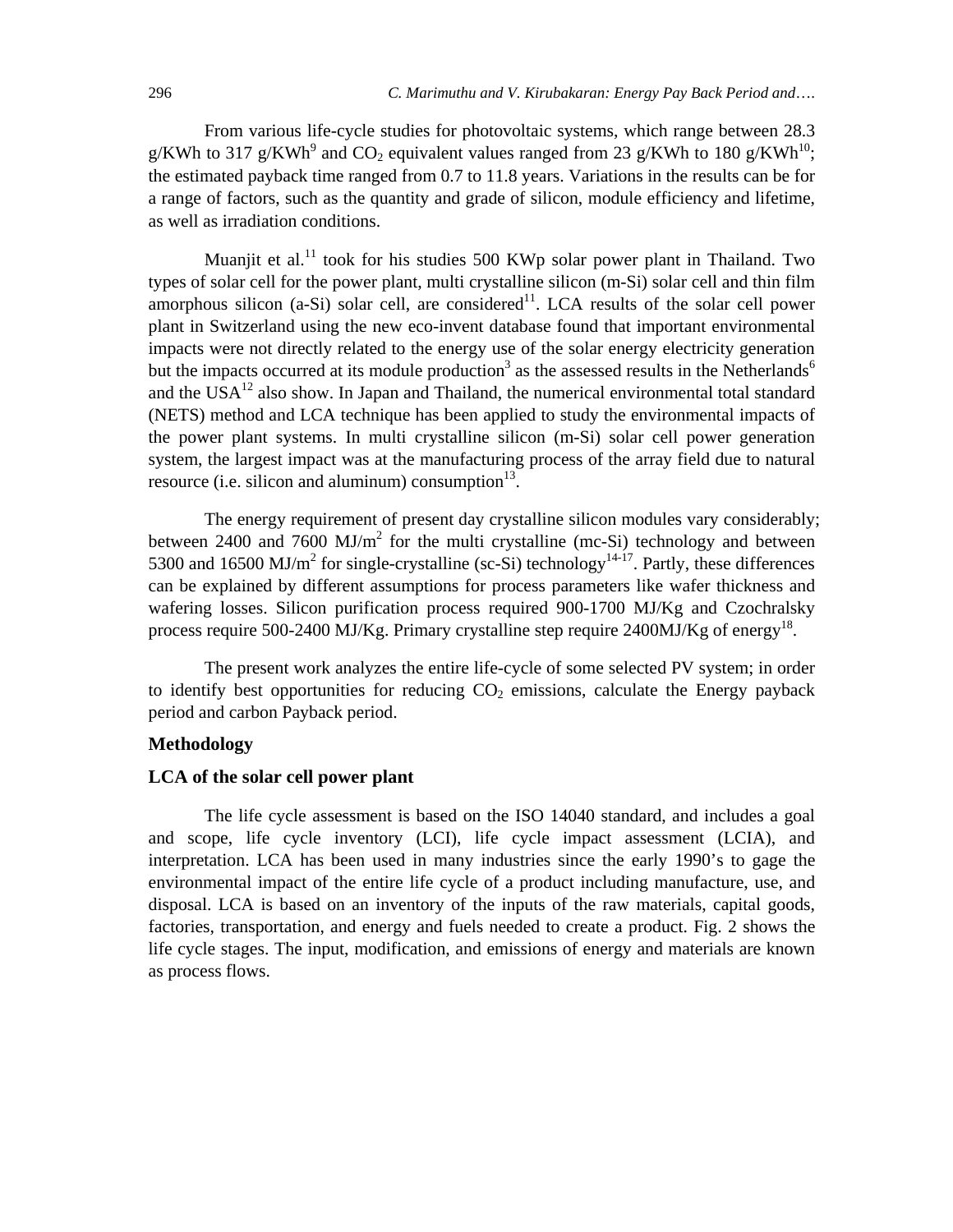From various life-cycle studies for photovoltaic systems, which range between 28.3 g/KWh to 317 g/KWh<sup>9</sup> and CO<sub>2</sub> equivalent values ranged from 23 g/KWh to 180 g/KWh<sup>10</sup>; the estimated payback time ranged from 0.7 to 11.8 years. Variations in the results can be for a range of factors, such as the quantity and grade of silicon, module efficiency and lifetime, as well as irradiation conditions.

Muaniit et al.<sup>11</sup> took for his studies 500 KWp solar power plant in Thailand. Two types of solar cell for the power plant, multi crystalline silicon (m-Si) solar cell and thin film amorphous silicon  $(a-Si)$  solar cell, are considered<sup>11</sup>. LCA results of the solar cell power plant in Switzerland using the new eco-invent database found that important environmental impacts were not directly related to the energy use of the solar energy electricity generation but the impacts occurred at its module production<sup>3</sup> as the assessed results in the Netherlands<sup>6</sup> and the  $USA^{12}$  also show. In Japan and Thailand, the numerical environmental total standard (NETS) method and LCA technique has been applied to study the environmental impacts of the power plant systems. In multi crystalline silicon (m-Si) solar cell power generation system, the largest impact was at the manufacturing process of the array field due to natural resource (i.e. silicon and aluminum) consumption $13$ .

The energy requirement of present day crystalline silicon modules vary considerably; between 2400 and 7600  $MJ/m<sup>2</sup>$  for the multi crystalline (mc-Si) technology and between 5300 and 16500 MJ/m<sup>2</sup> for single-crystalline (sc-Si) technology<sup>14-17</sup>. Partly, these differences can be explained by different assumptions for process parameters like wafer thickness and wafering losses. Silicon purification process required 900-1700 MJ/Kg and Czochralsky process require 500-2400 MJ/Kg. Primary crystalline step require 2400MJ/Kg of energy<sup>18</sup>.

The present work analyzes the entire life-cycle of some selected PV system; in order to identify best opportunities for reducing  $CO<sub>2</sub>$  emissions, calculate the Energy payback period and carbon Payback period.

### **Methodology**

### **LCA of the solar cell power plant**

The life cycle assessment is based on the ISO 14040 standard, and includes a goal and scope, life cycle inventory (LCI), life cycle impact assessment (LCIA), and interpretation. LCA has been used in many industries since the early 1990's to gage the environmental impact of the entire life cycle of a product including manufacture, use, and disposal. LCA is based on an inventory of the inputs of the raw materials, capital goods, factories, transportation, and energy and fuels needed to create a product. Fig. 2 shows the life cycle stages. The input, modification, and emissions of energy and materials are known as process flows.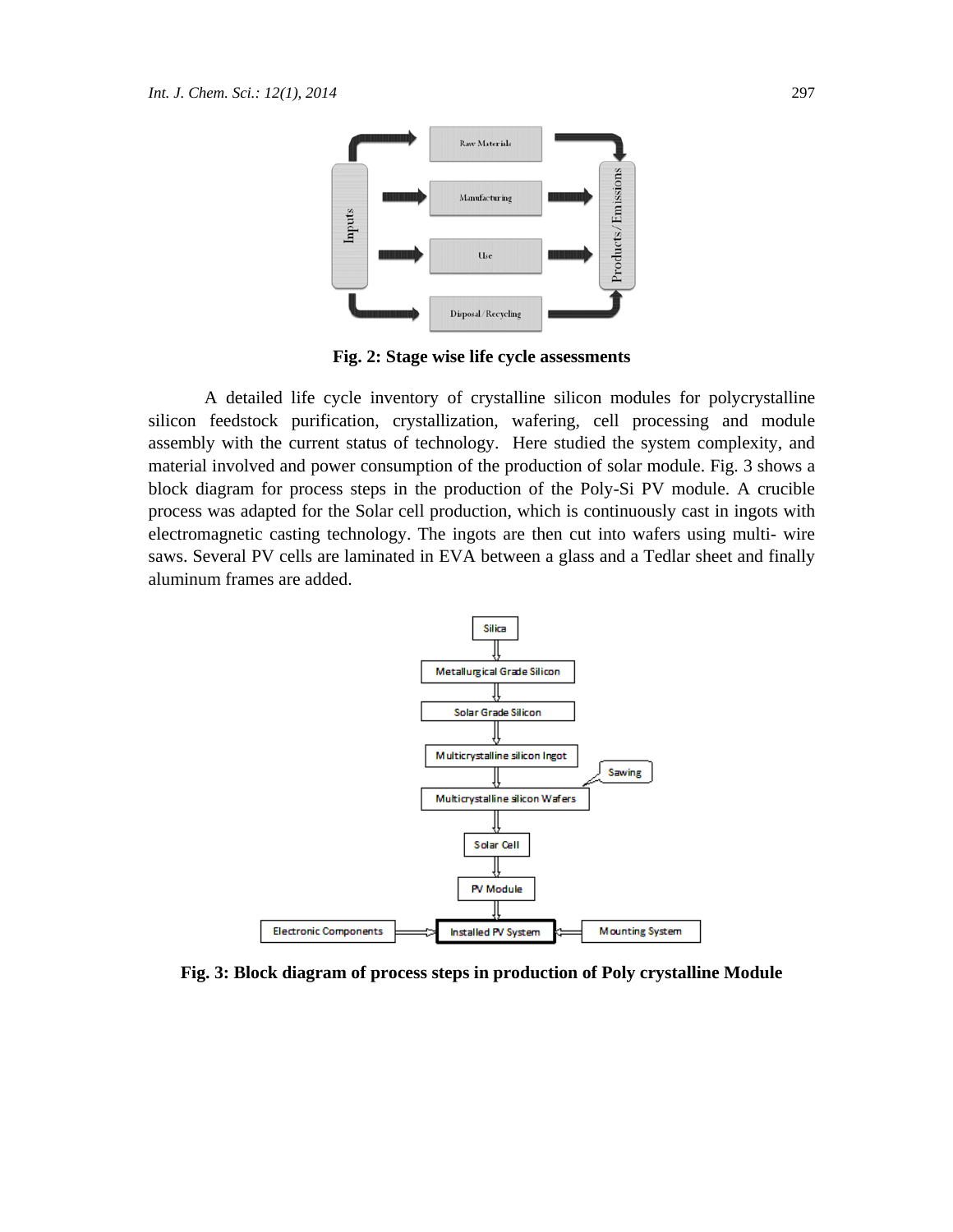

**Fig. 2: Stage wise life cycle assessments** 

A detailed life cycle inventory of crystalline silicon modules for polycrystalline silicon feedstock purification, crystallization, wafering, cell processing and module assembly with the current status of technology. Here studied the system complexity, and material involved and power consumption of the production of solar module. Fig. 3 shows a block diagram for process steps in the production of the Poly-Si PV module. A crucible process was adapted for the Solar cell production, which is continuously cast in ingots with electromagnetic casting technology. The ingots are then cut into wafers using multi- wire saws. Several PV cells are laminated in EVA between a glass and a Tedlar sheet and finally aluminum frames are added.



**Fig. 3: Block diagram of process steps in production of Poly crystalline Module**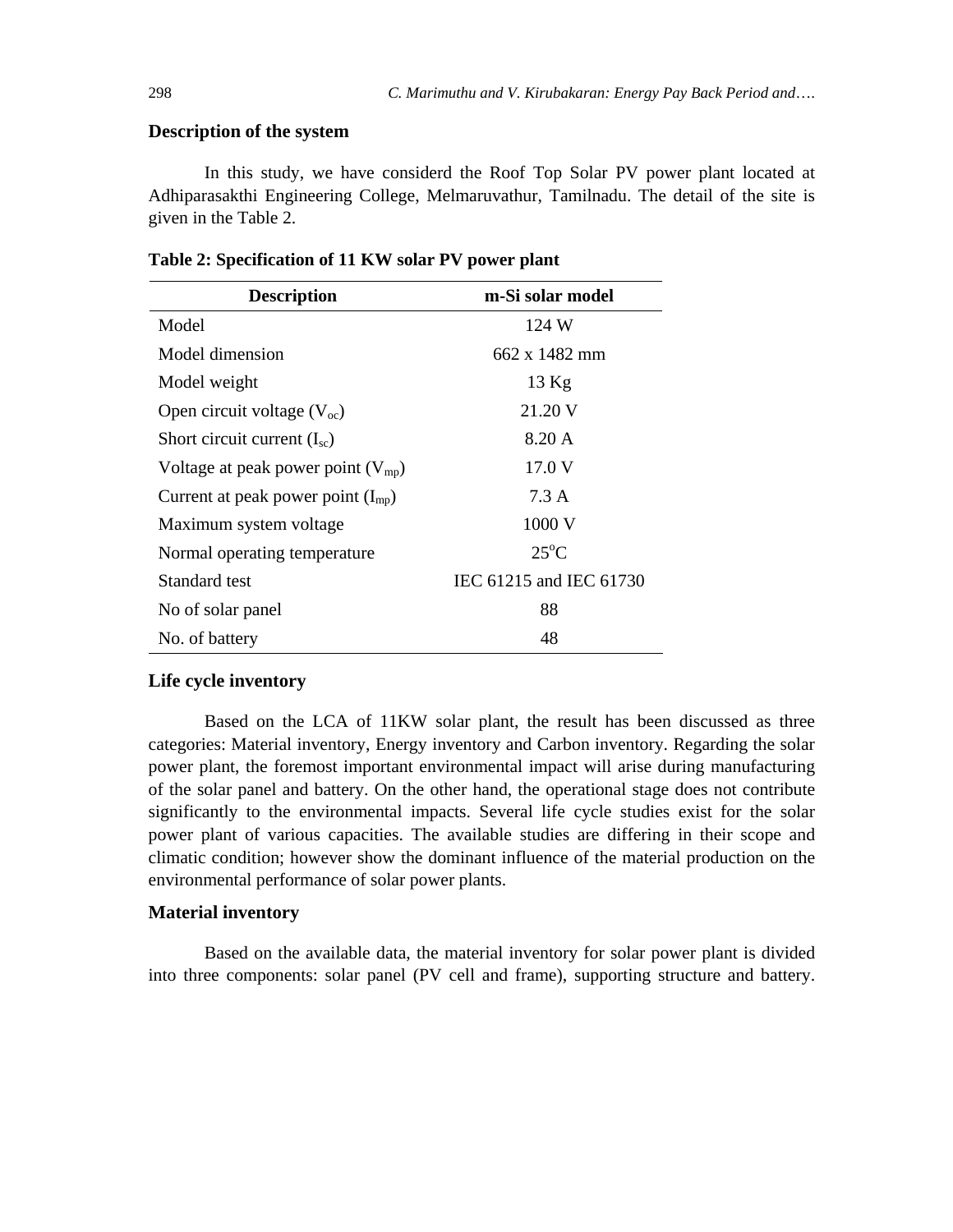### **Description of the system**

In this study, we have considerd the Roof Top Solar PV power plant located at Adhiparasakthi Engineering College, Melmaruvathur, Tamilnadu. The detail of the site is given in the Table 2.

| <b>Description</b>                     | m-Si solar model        |
|----------------------------------------|-------------------------|
| Model                                  | 124 W                   |
| Model dimension                        | 662 x 1482 mm           |
| Model weight                           | $13$ Kg                 |
| Open circuit voltage $(Voc)$           | 21.20 V                 |
| Short circuit current $(I_{sc})$       | 8.20 A                  |
| Voltage at peak power point $(V_{mp})$ | 17.0 V                  |
| Current at peak power point $(I_{mp})$ | 7.3 A                   |
| Maximum system voltage                 | 1000 V                  |
| Normal operating temperature           | $25^{\circ}$ C          |
| Standard test                          | IEC 61215 and IEC 61730 |
| No of solar panel                      | 88                      |
| No. of battery                         | 48                      |

**Table 2: Specification of 11 KW solar PV power plant** 

#### **Life cycle inventory**

Based on the LCA of 11KW solar plant, the result has been discussed as three categories: Material inventory, Energy inventory and Carbon inventory. Regarding the solar power plant, the foremost important environmental impact will arise during manufacturing of the solar panel and battery. On the other hand, the operational stage does not contribute significantly to the environmental impacts. Several life cycle studies exist for the solar power plant of various capacities. The available studies are differing in their scope and climatic condition; however show the dominant influence of the material production on the environmental performance of solar power plants.

#### **Material inventory**

Based on the available data, the material inventory for solar power plant is divided into three components: solar panel (PV cell and frame), supporting structure and battery.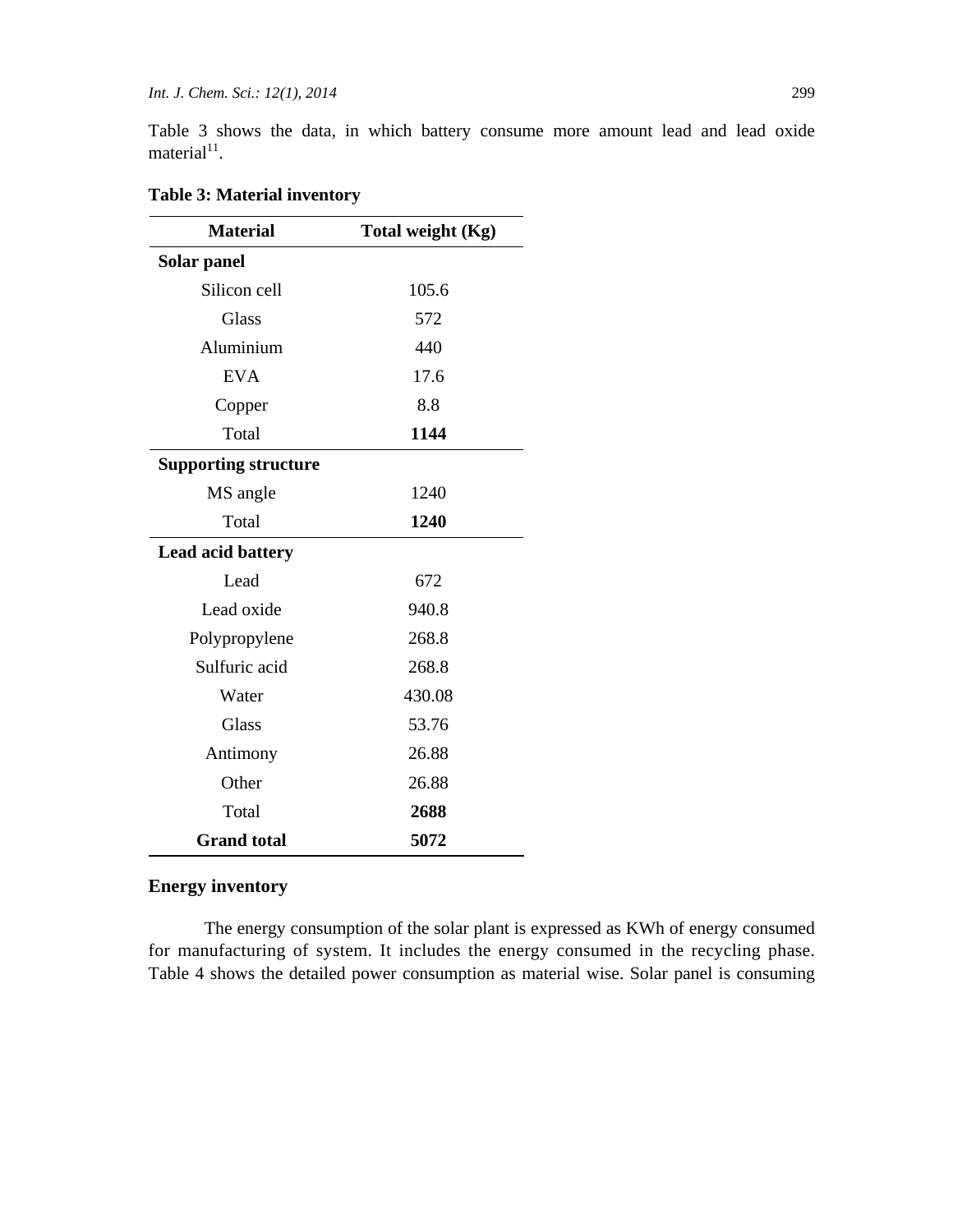Table 3 shows the data, in which battery consume more amount lead and lead oxide material $11$ .

| <b>Material</b>             | Total weight (Kg) |  |  |
|-----------------------------|-------------------|--|--|
| Solar panel                 |                   |  |  |
| Silicon cell                | 105.6             |  |  |
| Glass                       | 572               |  |  |
| Aluminium                   | 440               |  |  |
| <b>EVA</b>                  | 17.6              |  |  |
| Copper                      | 8.8               |  |  |
| Total                       | 1144              |  |  |
| <b>Supporting structure</b> |                   |  |  |
| MS angle                    | 1240              |  |  |
| Total                       | 1240              |  |  |
| Lead acid battery           |                   |  |  |
| Lead                        | 672               |  |  |
| Lead oxide                  | 940.8             |  |  |
| Polypropylene               | 268.8             |  |  |
| Sulfuric acid               | 268.8             |  |  |
| Water                       | 430.08            |  |  |
| <b>Glass</b>                | 53.76             |  |  |
| Antimony                    | 26.88             |  |  |
| Other                       | 26.88             |  |  |
| Total                       | 2688              |  |  |
| <b>Grand</b> total          | 5072              |  |  |

### **Table 3: Material inventory**

# **Energy inventory**

The energy consumption of the solar plant is expressed as KWh of energy consumed for manufacturing of system. It includes the energy consumed in the recycling phase. Table 4 shows the detailed power consumption as material wise. Solar panel is consuming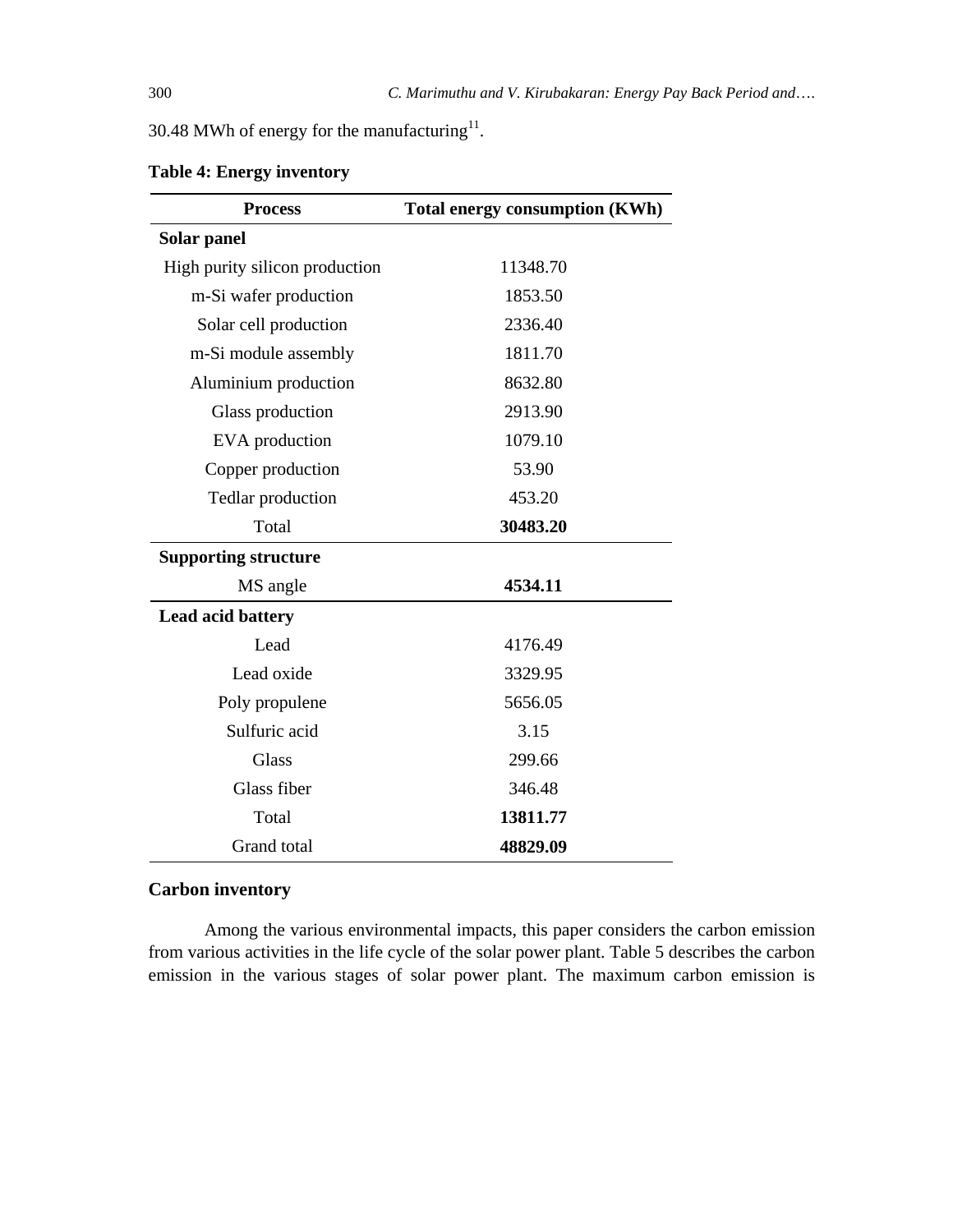30.48 MWh of energy for the manufacturing $11$ .

| <b>Process</b>                 | <b>Total energy consumption (KWh)</b> |
|--------------------------------|---------------------------------------|
| Solar panel                    |                                       |
| High purity silicon production | 11348.70                              |
| m-Si wafer production          | 1853.50                               |
| Solar cell production          | 2336.40                               |
| m-Si module assembly           | 1811.70                               |
| Aluminium production           | 8632.80                               |
| Glass production               | 2913.90                               |
| EVA production                 | 1079.10                               |
| Copper production              | 53.90                                 |
| Tedlar production              | 453.20                                |
| Total                          | 30483.20                              |
| <b>Supporting structure</b>    |                                       |
| MS angle                       | 4534.11                               |
| <b>Lead acid battery</b>       |                                       |
| Lead                           | 4176.49                               |
| Lead oxide                     | 3329.95                               |
| Poly propulene                 | 5656.05                               |
| Sulfuric acid                  | 3.15                                  |
| <b>Glass</b>                   | 299.66                                |
| Glass fiber                    | 346.48                                |
| Total                          | 13811.77                              |
| Grand total                    | 48829.09                              |

**Table 4: Energy inventory** 

# **Carbon inventory**

Among the various environmental impacts, this paper considers the carbon emission from various activities in the life cycle of the solar power plant. Table 5 describes the carbon emission in the various stages of solar power plant. The maximum carbon emission is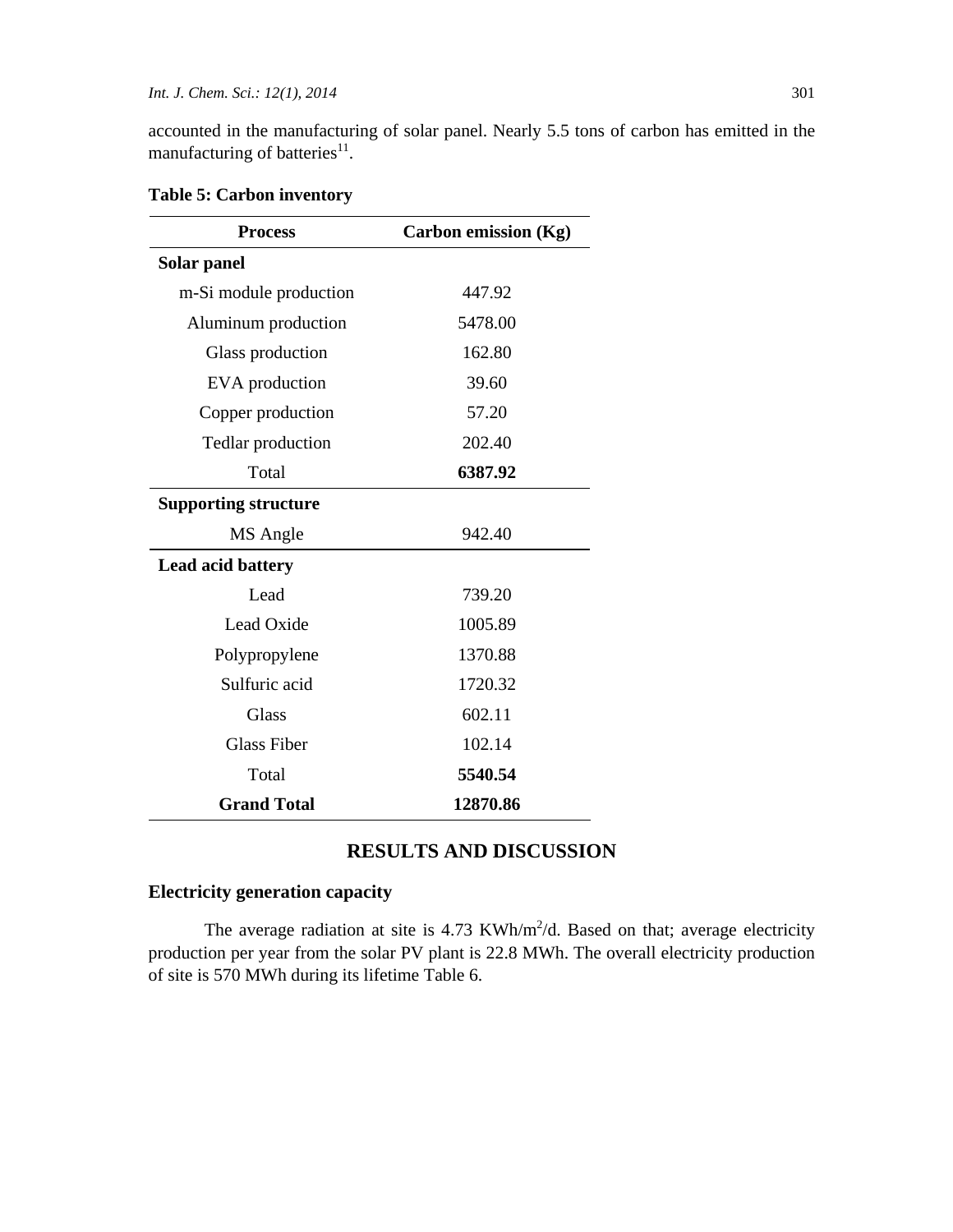accounted in the manufacturing of solar panel. Nearly 5.5 tons of carbon has emitted in the manufacturing of batteries $^{11}$ .

| <b>Process</b>              | <b>Carbon emission (Kg)</b> |  |
|-----------------------------|-----------------------------|--|
| Solar panel                 |                             |  |
| m-Si module production      | 447.92                      |  |
| Aluminum production         | 5478.00                     |  |
| Glass production            | 162.80                      |  |
| EVA production              | 39.60                       |  |
| Copper production           | 57.20                       |  |
| Tedlar production           | 202.40                      |  |
| Total                       | 6387.92                     |  |
| <b>Supporting structure</b> |                             |  |
| MS Angle                    | 942.40                      |  |
| Lead acid battery           |                             |  |
| Lead                        | 739.20                      |  |
| Lead Oxide                  | 1005.89                     |  |
| Polypropylene               | 1370.88                     |  |
| Sulfuric acid               | 1720.32                     |  |
| <b>Glass</b>                | 602.11                      |  |
| <b>Glass Fiber</b>          | 102.14                      |  |
| Total                       | 5540.54                     |  |
| <b>Grand Total</b>          | 12870.86                    |  |

**Table 5: Carbon inventory** 

# **RESULTS AND DISCUSSION**

# **Electricity generation capacity**

The average radiation at site is  $4.73$  KWh/m<sup>2</sup>/d. Based on that; average electricity production per year from the solar PV plant is 22.8 MWh. The overall electricity production of site is 570 MWh during its lifetime Table 6.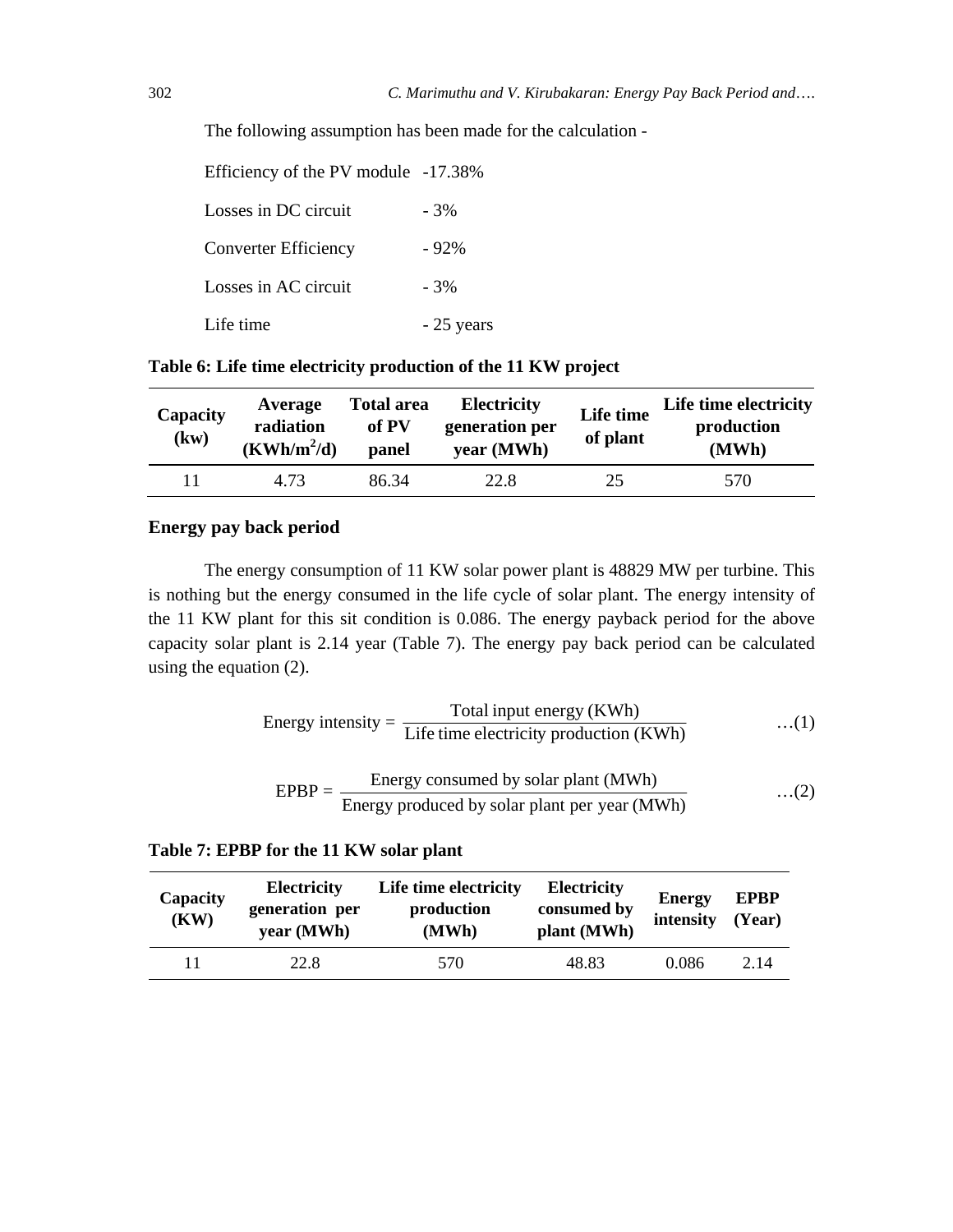The following assumption has been made for the calculation -

| Efficiency of the PV module -17.38% |             |
|-------------------------------------|-------------|
| Losses in DC circuit                | $-3%$       |
| <b>Converter Efficiency</b>         | $-92%$      |
| Losses in AC circuit                | $-3%$       |
| Life time                           | $-25$ years |

| Table 6: Life time electricity production of the 11 KW project |
|----------------------------------------------------------------|
|----------------------------------------------------------------|

| Capacity<br>(kw) | Average<br>radiation<br>$(KWh/m^2/d)$ | <b>Total area</b><br>of PV<br>panel | <b>Electricity</b><br>generation per<br>year (MWh) | Life time<br>of plant | Life time electricity<br>production<br>(MWh) |
|------------------|---------------------------------------|-------------------------------------|----------------------------------------------------|-----------------------|----------------------------------------------|
| 11               | 4.73                                  | 86.34                               | 22.8                                               | 25                    | 570                                          |

### **Energy pay back period**

The energy consumption of 11 KW solar power plant is 48829 MW per turbine. This is nothing but the energy consumed in the life cycle of solar plant. The energy intensity of the 11 KW plant for this sit condition is 0.086. The energy payback period for the above capacity solar plant is 2.14 year (Table 7). The energy pay back period can be calculated using the equation (2).

Energy intensity = 
$$
\frac{\text{Total input energy (KWh)}}{\text{Life time electricity production (KWh)}} \qquad \qquad \dots (1)
$$

$$
EPBP = \frac{\text{Energy consumed by solar plant (MWh)}}{\text{Energy produced by solar plant per year (MWh)}} \dots (2)
$$

### **Table 7: EPBP for the 11 KW solar plant**

| Capacity<br>(KW) | <b>Electricity</b><br>generation per<br>year (MWh) | Life time electricity<br>production<br>(MWh) | <b>Electricity</b><br>consumed by<br>plant (MWh) | <b>Energy</b><br>intensity | <b>EPBP</b><br>(Year) |
|------------------|----------------------------------------------------|----------------------------------------------|--------------------------------------------------|----------------------------|-----------------------|
|                  | 22.8                                               | 570                                          | 48.83                                            | 0.086                      | 2.14                  |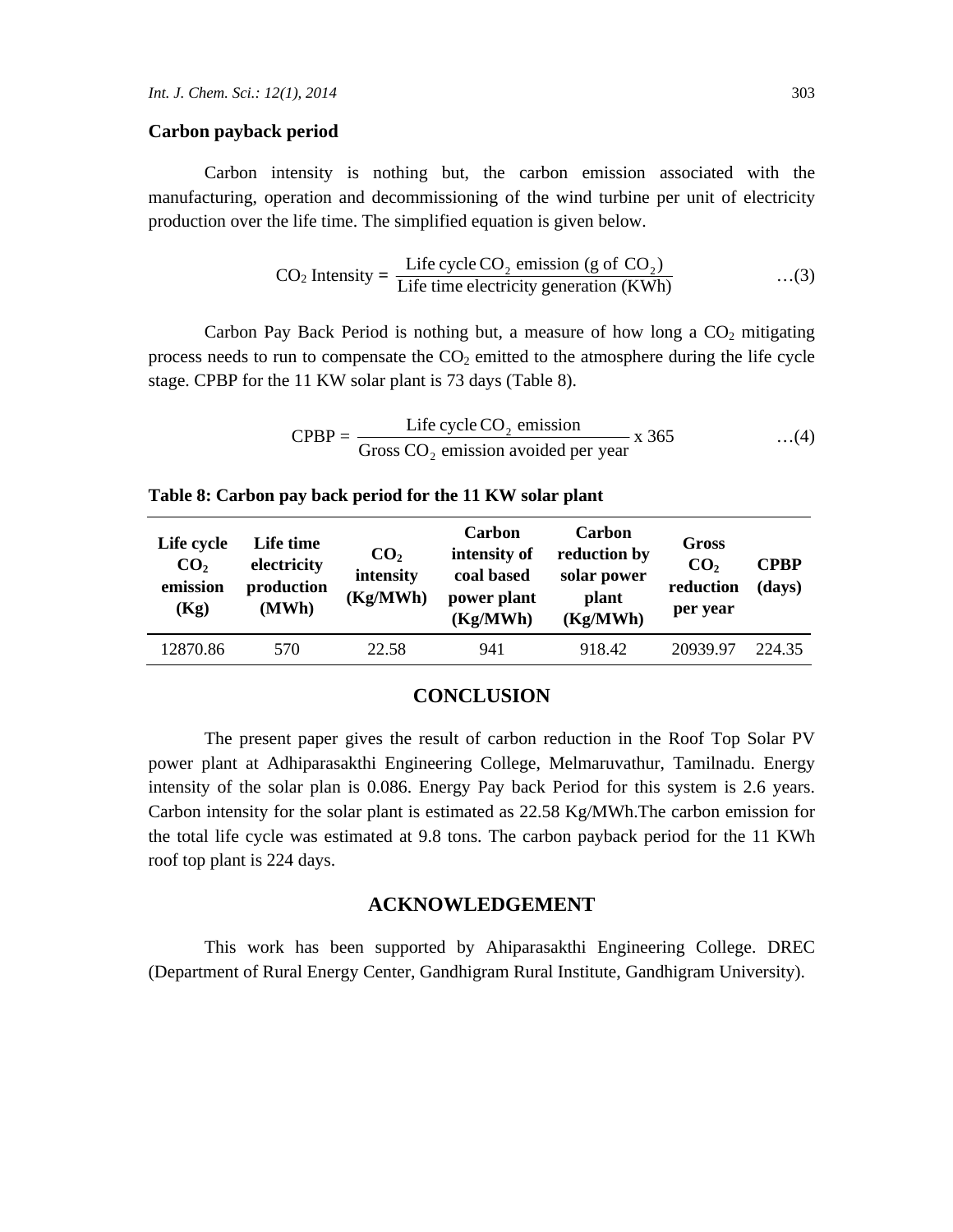#### **Carbon payback period**

Carbon intensity is nothing but, the carbon emission associated with the manufacturing, operation and decommissioning of the wind turbine per unit of electricity production over the life time. The simplified equation is given below.

$$
CO2 Intensity = \frac{\text{Life cycle } CO_2 \text{ emission (g of } CO_2)}{\text{Life time electricity generation (KWh)}} \tag{3}
$$

Carbon Pay Back Period is nothing but, a measure of how long a  $CO<sub>2</sub>$  mitigating process needs to run to compensate the  $CO<sub>2</sub>$  emitted to the atmosphere during the life cycle stage. CPBP for the 11 KW solar plant is 73 days (Table 8).

CPBP = 
$$
\frac{\text{Life cycle CO}_2 \text{ emission}}{\text{Gross CO}_2 \text{ emission avoided per year}} \times 365
$$
 ...(4)

| Life cycle<br>CO <sub>2</sub><br>emission<br>(Kg) | Life time<br>electricity<br>production<br>(MWh) | CO <sub>2</sub><br>intensity<br>(Kg/MWh) | Carbon<br>intensity of<br>coal based<br>power plant<br>(Kg/MWh) | Carbon<br>reduction by<br>solar power<br>plant<br>(Kg/MWh) | Gross<br>CO <sub>2</sub><br>reduction<br>per year | <b>CPBP</b><br>(days) |
|---------------------------------------------------|-------------------------------------------------|------------------------------------------|-----------------------------------------------------------------|------------------------------------------------------------|---------------------------------------------------|-----------------------|
| 12870.86                                          | 570                                             | 22.58                                    | 941                                                             | 918.42                                                     | 20939.97                                          | 224.35                |

#### **Table 8: Carbon pay back period for the 11 KW solar plant**

### **CONCLUSION**

The present paper gives the result of carbon reduction in the Roof Top Solar PV power plant at Adhiparasakthi Engineering College, Melmaruvathur, Tamilnadu. Energy intensity of the solar plan is 0.086. Energy Pay back Period for this system is 2.6 years. Carbon intensity for the solar plant is estimated as 22.58 Kg/MWh.The carbon emission for the total life cycle was estimated at 9.8 tons. The carbon payback period for the 11 KWh roof top plant is 224 days.

#### **ACKNOWLEDGEMENT**

This work has been supported by Ahiparasakthi Engineering College. DREC (Department of Rural Energy Center, Gandhigram Rural Institute, Gandhigram University).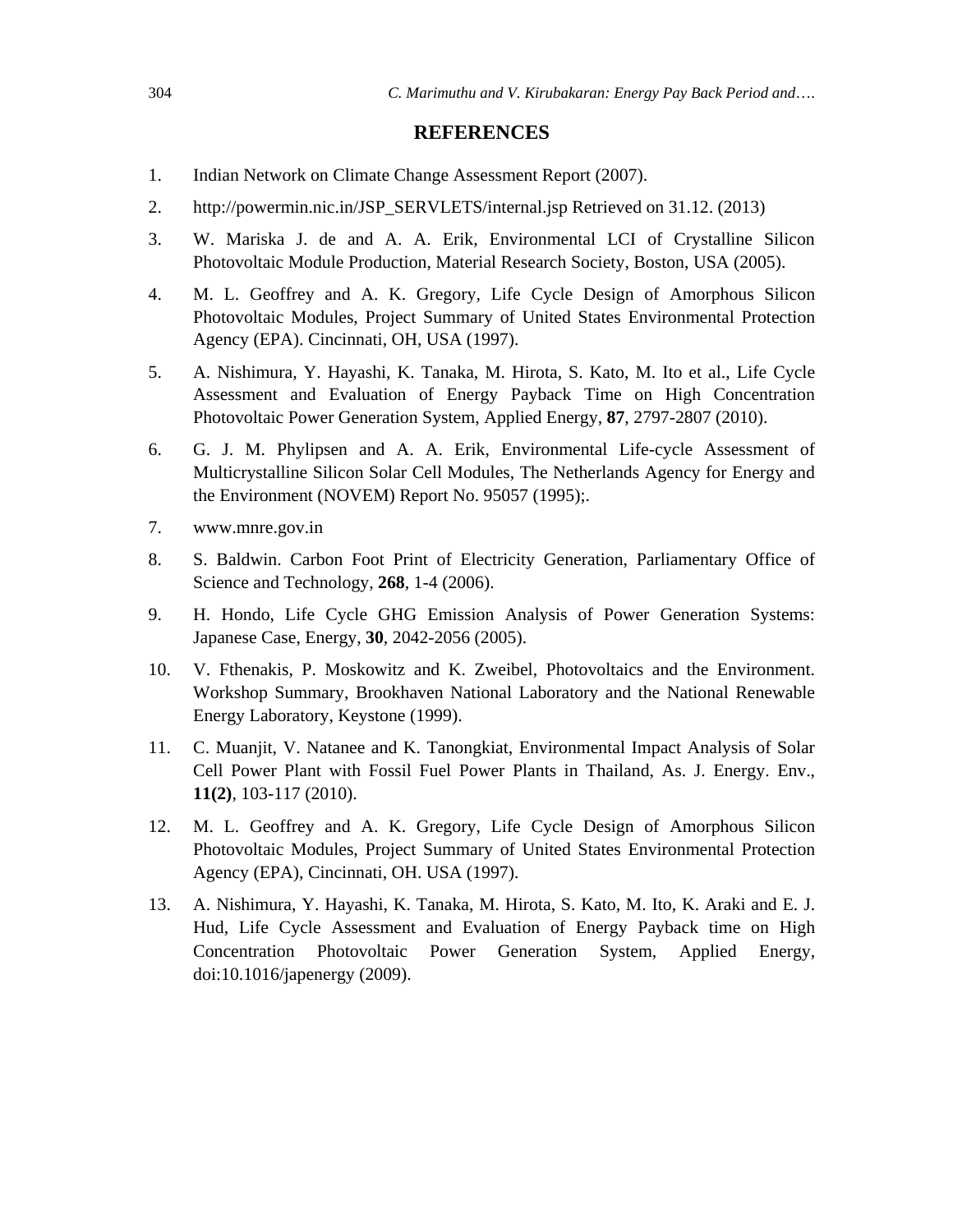#### **REFERENCES**

- 1. Indian Network on Climate Change Assessment Report (2007).
- 2. http://powermin.nic.in/JSP\_SERVLETS/internal.jsp Retrieved on 31.12. (2013)
- 3. W. Mariska J. de and A. A. Erik, Environmental LCI of Crystalline Silicon Photovoltaic Module Production, Material Research Society, Boston, USA (2005).
- 4. M. L. Geoffrey and A. K. Gregory, Life Cycle Design of Amorphous Silicon Photovoltaic Modules, Project Summary of United States Environmental Protection Agency (EPA). Cincinnati, OH, USA (1997).
- 5. A. Nishimura, Y. Hayashi, K. Tanaka, M. Hirota, S. Kato, M. Ito et al., Life Cycle Assessment and Evaluation of Energy Payback Time on High Concentration Photovoltaic Power Generation System, Applied Energy, **87**, 2797-2807 (2010).
- 6. G. J. M. Phylipsen and A. A. Erik, Environmental Life-cycle Assessment of Multicrystalline Silicon Solar Cell Modules, The Netherlands Agency for Energy and the Environment (NOVEM) Report No. 95057 (1995);.
- 7. www.mnre.gov.in
- 8. S. Baldwin. Carbon Foot Print of Electricity Generation, Parliamentary Office of Science and Technology, **268**, 1-4 (2006).
- 9. H. Hondo, Life Cycle GHG Emission Analysis of Power Generation Systems: Japanese Case, Energy, **30**, 2042-2056 (2005).
- 10. V. Fthenakis, P. Moskowitz and K. Zweibel, Photovoltaics and the Environment. Workshop Summary, Brookhaven National Laboratory and the National Renewable Energy Laboratory, Keystone (1999).
- 11. C. Muanjit, V. Natanee and K. Tanongkiat, Environmental Impact Analysis of Solar Cell Power Plant with Fossil Fuel Power Plants in Thailand, As. J. Energy. Env., **11(2)**, 103-117 (2010).
- 12. M. L. Geoffrey and A. K. Gregory, Life Cycle Design of Amorphous Silicon Photovoltaic Modules, Project Summary of United States Environmental Protection Agency (EPA), Cincinnati, OH. USA (1997).
- 13. A. Nishimura, Y. Hayashi, K. Tanaka, M. Hirota, S. Kato, M. Ito, K. Araki and E. J. Hud, Life Cycle Assessment and Evaluation of Energy Payback time on High Concentration Photovoltaic Power Generation System, Applied Energy, doi:10.1016/japenergy (2009).